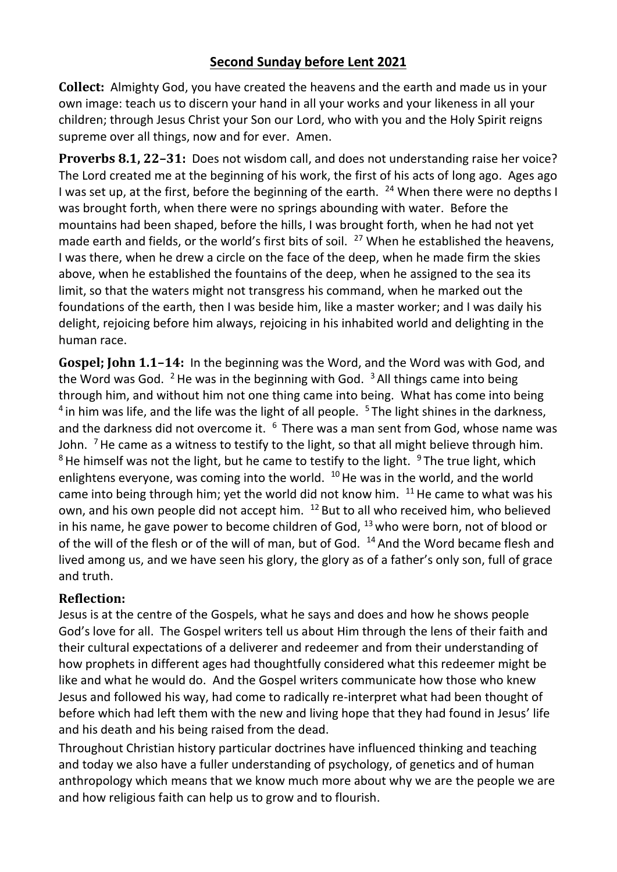## **Second Sunday before Lent 2021**

**Collect:** Almighty God, you have created the heavens and the earth and made us in your own image: teach us to discern your hand in all your works and your likeness in all your children; through Jesus Christ your Son our Lord, who with you and the Holy Spirit reigns supreme over all things, now and for ever. Amen.

**Proverbs 8.1, 22–31:** Does not wisdom call, and does not understanding raise her voice? The Lord created me at the beginning of his work, the first of his acts of long ago. Ages ago I was set up, at the first, before the beginning of the earth.  $^{24}$  When there were no depths I was brought forth, when there were no springs abounding with water. Before the mountains had been shaped, before the hills, I was brought forth, when he had not yet made earth and fields, or the world's first bits of soil.  $^{27}$  When he established the heavens, I was there, when he drew a circle on the face of the deep, when he made firm the skies above, when he established the fountains of the deep, when he assigned to the sea its limit, so that the waters might not transgress his command, when he marked out the foundations of the earth, then I was beside him, like a master worker; and I was daily his delight, rejoicing before him always, rejoicing in his inhabited world and delighting in the human race.

**Gospel; John 1.1–14:** In the beginning was the Word, and the Word was with God, and the Word was God. <sup>2</sup> He was in the beginning with God.  $3$  All things came into being through him, and without him not one thing came into being. What has come into being  $4$  in him was life, and the life was the light of all people.  $5$  The light shines in the darkness, and the darkness did not overcome it.  $6$  There was a man sent from God, whose name was John.  $<sup>7</sup>$  He came as a witness to testify to the light, so that all might believe through him.</sup>  $8$  He himself was not the light, but he came to testify to the light.  $9$  The true light, which enlightens everyone, was coming into the world.  $10$  He was in the world, and the world came into being through him; yet the world did not know him.  $11$  He came to what was his own, and his own people did not accept him. <sup>12</sup> But to all who received him, who believed in his name, he gave power to become children of God,  $^{13}$  who were born, not of blood or of the will of the flesh or of the will of man, but of God.  $14$  And the Word became flesh and lived among us, and we have seen his glory, the glory as of a father's only son, full of grace and truth.

## **Reflection:**

Jesus is at the centre of the Gospels, what he says and does and how he shows people God's love for all. The Gospel writers tell us about Him through the lens of their faith and their cultural expectations of a deliverer and redeemer and from their understanding of how prophets in different ages had thoughtfully considered what this redeemer might be like and what he would do. And the Gospel writers communicate how those who knew Jesus and followed his way, had come to radically re-interpret what had been thought of before which had left them with the new and living hope that they had found in Jesus' life and his death and his being raised from the dead.

Throughout Christian history particular doctrines have influenced thinking and teaching and today we also have a fuller understanding of psychology, of genetics and of human anthropology which means that we know much more about why we are the people we are and how religious faith can help us to grow and to flourish.